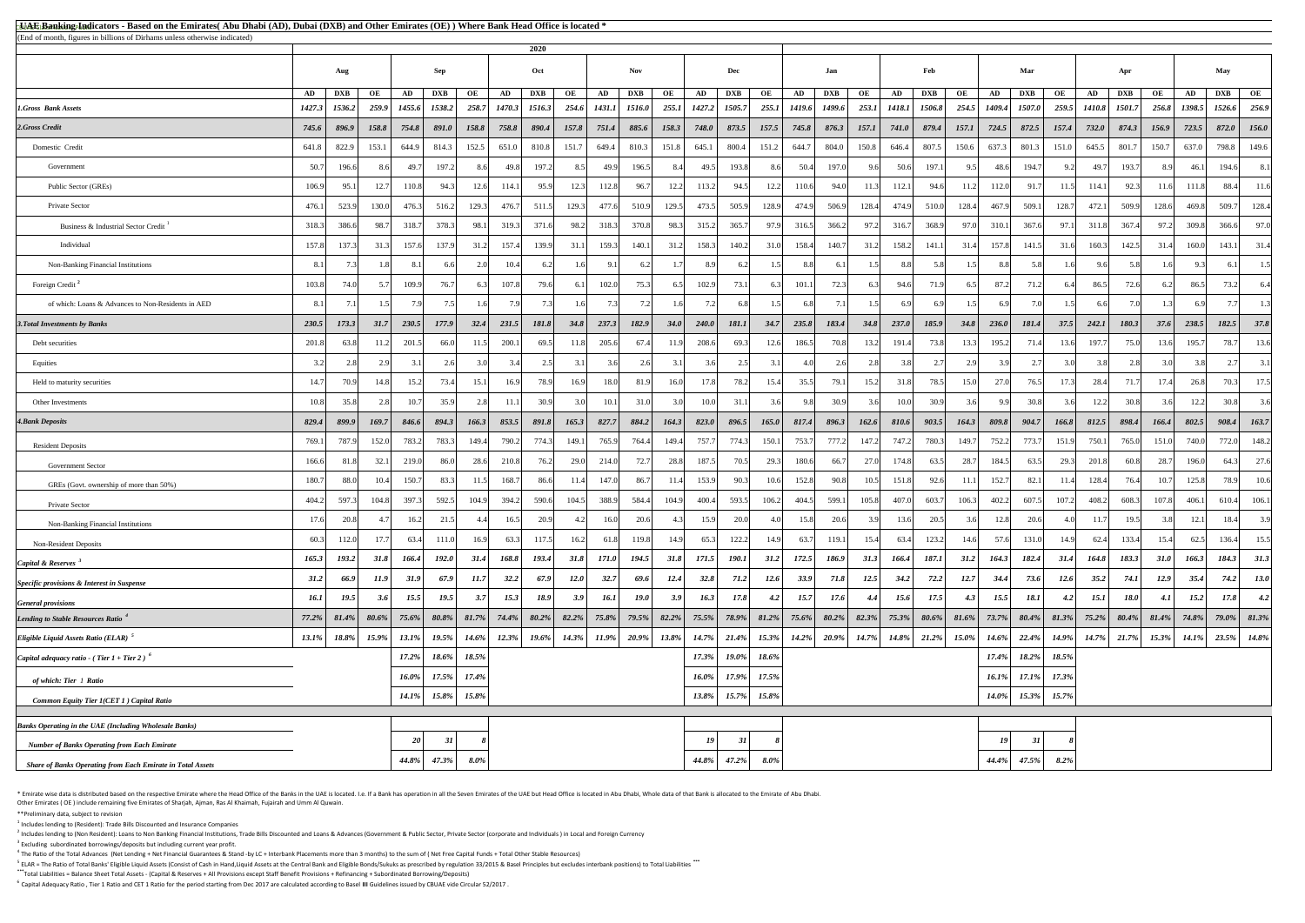<sup>5</sup> ELAR = The Ratio of Total Banks' Eligible Liquid Assets (Consist of Cash in Hand,Liquid Assets at the Central Bank and Eligible Bonds/Sukuks as prescribed by regulation 33/2015 & Basel Principles but excludes interbank **\*\*\***Total Liabilities = Balance Sheet Total Assets - (Capital & Reserves + All Provisions except Staff Benefit Provisions + Refinancing + Subordinated Borrowing/Deposits)

<sup>6</sup> Capital Adequacy Ratio, Tier 1 Ratio and CET 1 Ratio for the period starting from Dec 2017 are calculated according to Basel III Guidelines issued by CBUAE vide Circular 52/2017.

\* Emirate wise data is distributed based on the respective Emirate where the Head Office of the Banks in the UAE is located. I.e. If a Bank has operation in all the Seven Emirates of the UAE but Head Office is located in A Other Emirates ( OE ) include remaining five Emirates of Sharjah, Ajman, Ras Al Khaimah, Fujairah and Umm Al Quwain.

| <b>All Banking Indicators - Based on the Emirates</b> (Abu Dhabi (AD), Dubai (DXB) and Other Emirates (OE)) Where Bank Head Office is located *<br>(End of month, figures in billions of Dirhams unless otherwise indicated) |             |            |       |          |            |         |        |              |             |               |             |          |                  |             |         |                     |            |          |               |            |          |        |            |             |        |                                                                                                                                                                                                                       |          |          |             |             |
|------------------------------------------------------------------------------------------------------------------------------------------------------------------------------------------------------------------------------|-------------|------------|-------|----------|------------|---------|--------|--------------|-------------|---------------|-------------|----------|------------------|-------------|---------|---------------------|------------|----------|---------------|------------|----------|--------|------------|-------------|--------|-----------------------------------------------------------------------------------------------------------------------------------------------------------------------------------------------------------------------|----------|----------|-------------|-------------|
|                                                                                                                                                                                                                              |             |            |       |          |            |         |        | 2020         |             |               |             |          |                  |             |         |                     |            |          |               |            |          |        |            |             |        |                                                                                                                                                                                                                       |          |          |             |             |
|                                                                                                                                                                                                                              |             | Aug        |       |          | Sep        |         |        | Oct          |             |               | <b>Nov</b>  |          |                  | Dec         |         |                     | Jan        |          |               | Feb        |          |        | Mar        |             |        | Apr                                                                                                                                                                                                                   |          |          | May         |             |
|                                                                                                                                                                                                                              | AD          | <b>DXB</b> | OE    | AD       | <b>DXB</b> | OE      | AD     | <b>DXB</b>   | OE          | AD            | <b>DXB</b>  | OE       | AD               | <b>DXB</b>  | OE      | AD                  | <b>DXB</b> | OE       | AD            | <b>DXB</b> | OE       | AD     | <b>DXB</b> | OE          | AD     | <b>DXB</b>                                                                                                                                                                                                            | OE       | AD       | <b>DXB</b>  | OE          |
| <b>1.Gross Bank Assets</b>                                                                                                                                                                                                   | 1427.3      | 1536.2     | 259.9 | 1455.6   | 1538.2     | 258.7   | 1470.3 | 1516.3       | 254.6       | <b>1431.1</b> | 1516.0      | 255.1    | 1427.2           | 1505.7      |         | 255.1 1419.6 1499.6 |            | 253.1    | <i>1418.1</i> | 1506.8     | 254.5    | 1409.4 | 1507.0     | 259.5       | 1410.8 | 1501.7                                                                                                                                                                                                                | 256.8    | 1398.5   | 1526.6      | 256.9       |
| 2.Gross Credit                                                                                                                                                                                                               | 745.6       | 896.9      | 158.8 | 754.8    | 891.0      | 158.8   | 758.8  | 890.4        | 157.8       | 751.4         | 885.6       | 158.3    | <b>748.0</b>     | 873.5       | 157.5   | 745.8               | 876.3      | 157.1    | <b>741.0</b>  | 879.4      | 157.1    | 724.5  | 872.5      | 157.4       | 732.0  | 874.3                                                                                                                                                                                                                 | 156.9    | 723.5    | 872.0       | 156.0       |
| Domestic Credit                                                                                                                                                                                                              | 641.8       | 822.9      | 153.1 | 644.9    | 814.3      | 152.5   | 651.0  | 810.8        | 151.7       | 649.4         | 810.3       | 151.8    | 645.1            | 800.4       | 151.2   | 644.7               | 804.0      | 150.8    | 646.4         | 807.5      | 150.6    | 637.3  | 801.3      | 151.0       | 645.5  | 801.7                                                                                                                                                                                                                 | 150.7    | 637.0    | 798.8       | 149.6       |
| Government                                                                                                                                                                                                                   | 50.7        | 196.6      |       | 49.7     | 197.2      |         | 49.8   | 197.2        |             | 49.9          | 196.5       |          | 49.5             | 193.8       | 8.6     | 50.4                | 197.0      | 96       | 50.6          | 197.1      |          | 48.6   | 194.7      |             | 49.7   | 193.7                                                                                                                                                                                                                 |          | 46.1     | 194.6       | 8.1         |
| Public Sector (GREs)                                                                                                                                                                                                         | 106.9       | 95.1       |       | 110.8    | 94.3       | 12.6    | 114.1  | 95.9         | 12.3        | 112.8         | 96.7        | 12.2     | 113.2            | 94.5        | 12.2    | 110.6               | 94.0       | 11.3     | 112.1         | 94.6       | 11.2     | 112.0  | 91.7       |             | 114.1  | 92.3                                                                                                                                                                                                                  | 11.6     | 111.8    | 88.4        | 11.6        |
| Private Sector                                                                                                                                                                                                               | 476.1       | 523.9      | 130.0 | 476.3    | 516.2      | 129.3   | 476.7  | 511.5        | 129.3       | 477.6         | 510.9       | 129.5    | 473.5            | 505.9       | 128.9   | 474.9               | 506.9      | 128.4    | 474.9         | 510.0      | 128.4    | 467.9  | 509.1      | 128.7       | 472.1  | 509.9                                                                                                                                                                                                                 | 128.6    | 469.8    | 509.7       | 128.4       |
| Business & Industrial Sector Credit                                                                                                                                                                                          | 318.3       | 386.6      | 98.   | 318.7    | 378.3      | 98.1    | 319.3  | 371.6        | 98.2        | 318.3         | 370.8       | 98.3     | 315.2            | 365.7       | 97.9    | 316.5               | 366.2      | 97.2     | 316.7         | 368.9      | 97.0     | 310.1  | 367.6      | 97.1        | 311.8  | 367.4                                                                                                                                                                                                                 | 97.2     | 309.8    | 366.6       | 97.0        |
| Individual                                                                                                                                                                                                                   | 157.8       | 137.3      | 31.   | 157.6    | 137.9      | 31.2    | 157.4  | 139.9        | 31.1        | 159.3         | 140.1       | 31.2     | 158.3            | 140.2       | 31.0    | 158.4               | 140.7      | 31.2     | 158.2         | 141.1      | 31.4     | 157.8  | 141.5      | 31.6        | 160.3  | 142.5                                                                                                                                                                                                                 | 31.4     | 160.0    | 143.1       | 31.4        |
| Non-Banking Financial Institutions                                                                                                                                                                                           | -8.1        |            |       |          | -6.61      |         | 10.4   | 6.2          | 1.6         | 9.1           | 6.2         |          | 8.9              | 6.2         | 1.5     | 8.8                 | 6.1        | 1.5      | 8.8           | 5.8        | 1.5      | 8.8L   | .5.81      |             | 9.6    | 5.81                                                                                                                                                                                                                  |          |          | 6.1         | 1.5         |
| Foreign Credit <sup>2</sup>                                                                                                                                                                                                  | 103.8       | 74.0       |       | 109.9    | 76.7       |         | 107.8  | 79.6         |             | 102.0         | 75.3        | 6.5      | 102.9            | 73.1        | 6.3     | 101.1               | 72.3       | 6.31     | 94.6          | 71.9       | 6.5      | 87.2   |            |             | 86.5   | 72.6                                                                                                                                                                                                                  |          | 86.5     | 73.2        | 6.4         |
| of which: Loans & Advances to Non-Residents in AED                                                                                                                                                                           |             |            |       |          |            |         |        |              |             |               |             |          | 7.2              |             |         | 6.81                |            |          |               |            |          |        |            |             |        |                                                                                                                                                                                                                       |          |          |             | 1.3         |
| <b>3. Total Investments by Banks</b>                                                                                                                                                                                         | 230.5       | 173.3      | 31.7  | 230.5    | 177.9      | 32.4    | 231.5  | <b>181.8</b> | 34.8        | 237.3         | 182.9       | 34.0     | 240.0            | 181.1       | 34.7    | 235.8               | 183.4      | 34.8     | 237.0         | 185.9      | 34.8     | 236.0  | 181.4      | 37.5        | 242.1  | 180.3                                                                                                                                                                                                                 | 37.6     | 238.5    | 182.5       | 37.8        |
| Debt securities                                                                                                                                                                                                              | 201.8       | 63.8       |       | 201.5    | 66.0       | 11.5    | 200.1  | 69.5         | 11.8        | 205.6         | 67.4        | 11.9     | 208.6            | 69.3        | 12.6    | 186.5               | 70.8       | 13.2     | 191.4         | 73.8       | 13.3     | 195.2  | 71.4       |             | 197.7  | 75.0                                                                                                                                                                                                                  | 13.6     | 195.7    | 78.7        | 13.6        |
| Equities                                                                                                                                                                                                                     |             |            |       |          | 2.6        |         |        |              |             |               | 2.6         |          | 3.6 <sup>l</sup> | 2.5         |         |                     |            | 2.8      | 3.8           |            |          |        |            |             |        |                                                                                                                                                                                                                       |          |          |             | 3.1         |
| Held to maturity securities                                                                                                                                                                                                  | 14.7        | 70.9       | 14.81 | 15.2     | 73.4       | 15.1    | 16.9   | 78.9         | 16.9        | 18.0          | 81.9        | 16.0     | 17.8             | 78.2        | 15.4    | 35.5                | 79.1       | 15.2     | 31.8          | 78.5       | 15.0     | 27.0   | 76.5       |             | 28.4   | 71.7                                                                                                                                                                                                                  | 17.4     | 26.8     | 70.3        | 17.5        |
| Other Investments                                                                                                                                                                                                            | 10.8        | 35.8       |       | 10.7     | 35.9       |         | 11.1   | 30.9         | 3.0         | 10.1          | 31.0        | 3.0      | 10.0             | 31.1        | 3.6     | 9.8                 | 30.9       | 3.6      | 10.0          | 30.9       | 3.6      | 9.9    | 30.8       |             | 12.2   | 30.8                                                                                                                                                                                                                  |          | 12.2     | 30.8        | 3.6         |
| <b>4. Bank Deposits</b>                                                                                                                                                                                                      | 829.4       | 899.9      | 169.7 | 846.6    | 894.3      | 166.3   | 853.5  | 891.8        | 165.3       | 827.7         | 884.2       | 164.3    | 823.0            | 896.5       | 165.0   | 817.4               | 896.3      | 162.6    | 810.6         | 903.5      | 164.3    | 809.8  | 904.7      | 166.8       | 812.5  | 898.4                                                                                                                                                                                                                 | 166.4    | 802.5    | 908.4       | 163.7       |
| <b>Resident Deposits</b>                                                                                                                                                                                                     | 769.1       | 787.9      | 152.0 | 783.2    | 783.       | 149.4   | 790.2  | 774.3        | 149.1       | 765.9         | 764.4       | 149.4    | 757.7            | 774.3       | 150.1   | 753.7               | 777.2      | 147.2    | 747.2         | 780.3      | 149.7    | 752.2  | 773.7      | 151.9       | 750.1  | 765.0                                                                                                                                                                                                                 | 151.0    | 740.0    | 772.0       | 148.2       |
| <b>Government Sector</b>                                                                                                                                                                                                     | 166.6       | 81.8       | 32.   | 219.0    | 86.0       | 28.6    | 210.8  | 76.2         | 29.0        | 214.0         | 72.7        | 28.8     | 187.5            | 70.5        | 29.3    | 180.6               | 66.7       | 27.0     | 174.8         | 63.5       | 28.7     | 184.5  | 63.5       | 29.3        | 201.8  | 60.8                                                                                                                                                                                                                  | 28.7     | 196.0    | 64.3        | 27.6        |
| GREs (Govt. ownership of more than 50%)                                                                                                                                                                                      | 180.7       | 88.0       |       | 150.7    | 83.        | 11.5    | 168.7  | 86.6         | 11.4        | 147.0         | 86.7        | 11.4     | 153.9            | 90.3        | 10.6    | 152.8               | 90.8       | 10.5     | 151.8         | 92.6       |          | 152.7  | 82.        |             | 128.4  | 76.4                                                                                                                                                                                                                  | 10.7     | 125.8    | 78.9        | 10.6        |
| Private Sector                                                                                                                                                                                                               | 404.        | 597.3      | 104.8 | 397.3    | 592.5      | 104.9   | 394.2  | 590.6        | 104.5       | 388.9         | 584.4       | 104.9    | 400.4            | 593.5       | 106.2   | 404.5               | 599.1      | 105.8    | 407.0         | 603.7      | 106.3    | 402.2  | 607.5      | 107.2       | 408.2  | 608.3                                                                                                                                                                                                                 | 107.8    | 406.1    | 610.4       | 106.1       |
| Non-Banking Financial Institutions                                                                                                                                                                                           |             | 20.8       |       | 16.2     | 21.5       |         | 16.5   | 20.9         |             | 16.0          | 20.6        |          | 15.9             | 20.0        |         | 15.8                | 20.6       | 3.9      | 13.6          | 20.5       | 3.6      | 12.8   | 20.6       |             | 11.7   | 19.5                                                                                                                                                                                                                  |          | 12.1     | 18.4        | 3.9         |
| <b>Non-Resident Deposits</b>                                                                                                                                                                                                 | 60.3        | 112.0      |       | 63.4     | 111.0      | 16.9    | 63.3   | 117.5        | 16.2        | 61.8          | 119.8       | 14.9     | 65.3             | 122.2       | 14.9    | 63.7                | 119.1      | 15.4     | 63.4          | 123.2      | 14.6     | 57.6   | 131.0      |             | 62.4   | 133.4                                                                                                                                                                                                                 | 15.4     | 62.5     | 136.4       | 15.5        |
| Capital & Reserves <sup>3</sup>                                                                                                                                                                                              | 165.3       | 193.2      | 31.8  | 166.4    | 192.0      | 31.4    | 168.8  | 193.4        | 31.8        | 171.0         | 194.5       | 31.8     | 171.5            | 190.1       | 31.2    | 172.5               | 186.9      | 31.3     | 166.4         | 187.1      | 31.2     | 164.3  | 182.4      | 31.4        | 164.8  | 183.3                                                                                                                                                                                                                 | 31.0     | 166.3    | 184.3       | 31.3        |
| Specific provisions & Interest in Suspense                                                                                                                                                                                   | 31.2        | 66.9       | 11.9  | 31.9     | 67.9       | 11.7    | 32.2   | 67.9         | <b>12.0</b> | 32.7          | 69.6        | 12.4     | 32.8             | 71.2        | 12.6    | 33.9                | 71.8       | 12.5     | 34.2          | 72.2       | 12.7     | 34.4   | 73.6       | <b>12.6</b> | 35.2   | 74.1                                                                                                                                                                                                                  | 12.9     | 35.4     | 74.2        | <b>13.0</b> |
| <b>General provisions</b>                                                                                                                                                                                                    | <i>16.1</i> | 19.5       | 3.6   | 15.5     | 19.5       | 3.7     | 15.3   | 18.9         | 3.9         | 16.1          | <b>19.0</b> | 3.9      | 16.3             | <i>17.8</i> | 4.2     | 15.7                | 17.6       | 4.4      | 15.6          | 17.5       | 4.3      | 15.5   | 18.1       | 4.2         | 15.1   | <i>18.0</i>                                                                                                                                                                                                           | 4.1      | 15.2     | 17.8        | 4.2         |
| Lending to Stable Resources Ratio <sup>4</sup>                                                                                                                                                                               |             |            |       |          |            |         |        |              |             |               |             |          |                  |             |         |                     |            |          |               |            |          |        |            |             |        | 77.2%   81.4%   80.6%   75.6%   80.8%   81.7%   74.4%   80.2%   82.2%   75.8%   78.9%   78.9%   78.9%   80.2%   82.3%   75.3%   80.6%   81.6%   73.7%   80.4%   81.3%   75.2%   80.4%   81.4%   74.8%   79.0%   81.3% |          |          |             |             |
| Eligible Liquid Assets Ratio (ELAR) <sup>2</sup>                                                                                                                                                                             | 13.1%       | 18.8%      | 15.9% | 13.1%    | 19.5%      | 14.6%   | 12.3%  | 19.6%        | $14.3\%$    | $11.9\%$      | $20.9\%$    | $13.8\%$ | $14.7\%$         | $21.4\%$    | 15.3%   | $14.2\%$            | 20.9%      | $14.7\%$ | $14.8\%$      | $21.2\%$   | $15.0\%$ | 14.6%  | 22.4%      | 14.9%       | 14.7%  | 21.7%                                                                                                                                                                                                                 | $15.3\%$ | $14.1\%$ | 23.5% 14.8% |             |
| Capital adequacy ratio - (Tier $1 +$ Tier 2) <sup>6</sup>                                                                                                                                                                    |             |            |       | 17.2%    | 18.6%      | 18.5%   |        |              |             |               |             |          | $17.3\%$         | $19.0\%$    | 18.6%   |                     |            |          |               |            |          | 17.4%  | 18.2%      | 18.5%       |        |                                                                                                                                                                                                                       |          |          |             |             |
| of which: Tier 1 Ratio                                                                                                                                                                                                       |             |            |       | 16.0%    | 17.5%      | 17.4%   |        |              |             |               |             |          | 16.0%            | $17.9\%$    | 17.5%   |                     |            |          |               |            |          | 16.1%  | $17.1\%$   | 17.3%       |        |                                                                                                                                                                                                                       |          |          |             |             |
| <b>Common Equity Tier 1(CET 1) Capital Ratio</b>                                                                                                                                                                             |             |            |       | $14.1\%$ | 15.8%      | 15.8%   |        |              |             |               |             |          | $13.8\%$         | $15.7\%$    | 15.8%   |                     |            |          |               |            |          | 14.0%  | $15.3\%$   | 15.7%       |        |                                                                                                                                                                                                                       |          |          |             |             |
|                                                                                                                                                                                                                              |             |            |       |          |            |         |        |              |             |               |             |          |                  |             |         |                     |            |          |               |            |          |        |            |             |        |                                                                                                                                                                                                                       |          |          |             |             |
| <b>Banks Operating in the UAE (Including Wholesale Banks)</b>                                                                                                                                                                |             |            |       | 20       | 31         |         |        |              |             |               |             |          | 19               | 31          |         |                     |            |          |               |            |          | 19     | 31         |             |        |                                                                                                                                                                                                                       |          |          |             |             |
| <b>Number of Banks Operating from Each Emirate</b>                                                                                                                                                                           |             |            |       | 44.8%    | 47.3%      | $8.0\%$ |        |              |             |               |             |          | 44.8%            | 47.2%       | $8.0\%$ |                     |            |          |               |            |          | 44.4%  | 47.5%      | $8.2\%$     |        |                                                                                                                                                                                                                       |          |          |             |             |
| <b>Share of Banks Operating from Each Emirate in Total Assets</b>                                                                                                                                                            |             |            |       |          |            |         |        |              |             |               |             |          |                  |             |         |                     |            |          |               |            |          |        |            |             |        |                                                                                                                                                                                                                       |          |          |             |             |

\*\*Preliminary data, subject to revision

 $<sup>1</sup>$  Includes lending to (Resident): Trade Bills Discounted and Insurance Companies</sup>

 $^2$  Includes lending to (Non Resident): Loans to Non Banking Financial Institutions, Trade Bills Discounted and Loans & Advances (Government & Public Sector, Private Sector (corporate and Individuals) in Local and Foreig  $3$  Excluding subordinated borrowings/deposits but including current year profit.

 $^4$  The Ratio of the Total Advances (Net Lending + Net Financial Guarantees & Stand -by LC + Interbank Placements more than 3 months) to the sum of (Net Free Capital Funds + Total Other Stable Resources)